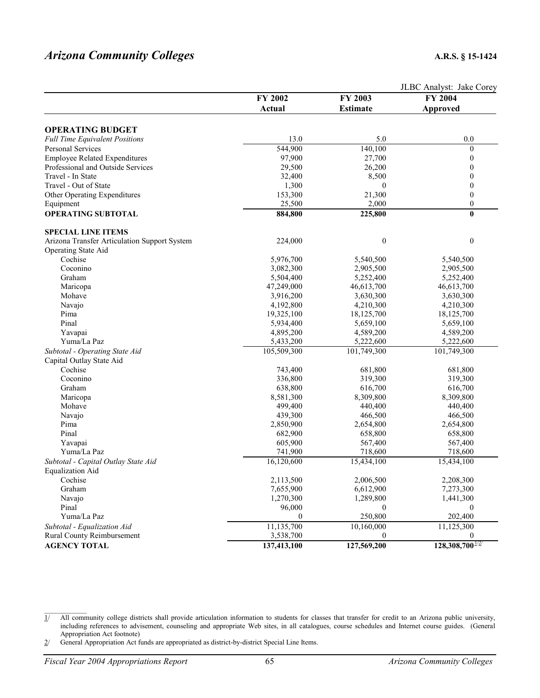## *Arizona Community Colleges* **A.R.S. § 15-1424**

|                                              |             |                  | JLBC Analyst: Jake Corey |  |
|----------------------------------------------|-------------|------------------|--------------------------|--|
|                                              | FY 2002     | FY 2003          | FY 2004                  |  |
|                                              | Actual      | <b>Estimate</b>  | Approved                 |  |
|                                              |             |                  |                          |  |
| <b>OPERATING BUDGET</b>                      |             |                  |                          |  |
| <b>Full Time Equivalent Positions</b>        | 13.0        | 5.0              | 0.0                      |  |
| <b>Personal Services</b>                     | 544,900     | 140,100          | $\boldsymbol{0}$         |  |
| <b>Employee Related Expenditures</b>         | 97,900      | 27,700           | $\boldsymbol{0}$         |  |
| Professional and Outside Services            | 29,500      | 26,200           | 0                        |  |
| Travel - In State                            | 32,400      | 8,500            | 0                        |  |
| Travel - Out of State                        | 1,300       | $\Omega$         | $\boldsymbol{0}$         |  |
| Other Operating Expenditures                 | 153,300     | 21,300           | $\boldsymbol{0}$         |  |
| Equipment                                    | 25,500      | 2,000            | $\boldsymbol{0}$         |  |
| <b>OPERATING SUBTOTAL</b>                    | 884,800     | 225,800          | $\bf{0}$                 |  |
| <b>SPECIAL LINE ITEMS</b>                    |             |                  |                          |  |
| Arizona Transfer Articulation Support System | 224,000     | $\boldsymbol{0}$ | $\boldsymbol{0}$         |  |
| Operating State Aid                          |             |                  |                          |  |
| Cochise                                      | 5,976,700   | 5,540,500        | 5,540,500                |  |
| Coconino                                     | 3,082,300   | 2,905,500        | 2,905,500                |  |
| Graham                                       | 5,504,400   | 5,252,400        | 5,252,400                |  |
| Maricopa                                     | 47,249,000  | 46,613,700       | 46,613,700               |  |
| Mohave                                       | 3,916,200   | 3,630,300        | 3,630,300                |  |
| Navajo                                       | 4,192,800   | 4,210,300        | 4,210,300                |  |
| Pima                                         | 19,325,100  | 18,125,700       | 18,125,700               |  |
| Pinal                                        | 5,934,400   | 5,659,100        | 5,659,100                |  |
| Yavapai                                      | 4,895,200   | 4,589,200        | 4,589,200                |  |
| Yuma/La Paz                                  | 5,433,200   | 5,222,600        | 5,222,600                |  |
| Subtotal - Operating State Aid               | 105,509,300 | 101,749,300      | 101,749,300              |  |
| Capital Outlay State Aid                     |             |                  |                          |  |
| Cochise                                      | 743,400     | 681,800          | 681,800                  |  |
| Coconino                                     | 336,800     | 319,300          | 319,300                  |  |
| Graham                                       | 638,800     | 616,700          | 616,700                  |  |
| Maricopa                                     | 8,581,300   | 8,309,800        | 8,309,800                |  |
| Mohave                                       | 499,400     | 440,400          | 440,400                  |  |
| Navajo                                       | 439,300     | 466,500          | 466,500                  |  |
| Pima                                         | 2,850,900   | 2,654,800        | 2,654,800                |  |
| Pinal                                        | 682,900     | 658,800          | 658,800                  |  |
| Yavapai                                      | 605,900     | 567,400          | 567,400                  |  |
| Yuma/La Paz                                  | 741,900     | 718,600          | 718,600                  |  |
| Subtotal - Capital Outlay State Aid          | 16,120,600  | 15,434,100       | 15,434,100               |  |
| <b>Equalization Aid</b>                      |             |                  |                          |  |
| Cochise                                      | 2,113,500   | 2,006,500        | 2,208,300                |  |
| Graham                                       | 7,655,900   | 6,612,900        | 7,273,300                |  |
| Navajo                                       | 1,270,300   | 1,289,800        | 1,441,300                |  |
| Pinal                                        | 96,000      | $\mathbf{0}$     | $\boldsymbol{0}$         |  |
| Yuma/La Paz                                  | $\theta$    | 250,800          | 202,400                  |  |
| Subtotal - Equalization Aid                  | 11,135,700  | 10,160,000       | 11,125,300               |  |
| Rural County Reimbursement                   | 3,538,700   | $\mathbf{0}$     | $\mathbf{0}$             |  |
| <b>AGENCY TOTAL</b>                          | 137,413,100 | 127,569,200      | $128,308,700^{1/2}$      |  |
|                                              |             |                  |                          |  |

2/ General Appropriation Act funds are appropriated as district-by-district Special Line Items.

 $1/$  All community college districts shall provide articulation information to students for classes that transfer for credit to an Arizona public university, including references to advisement, counseling and appropriate Web sites, in all catalogues, course schedules and Internet course guides. (General Appropriation Act footnote)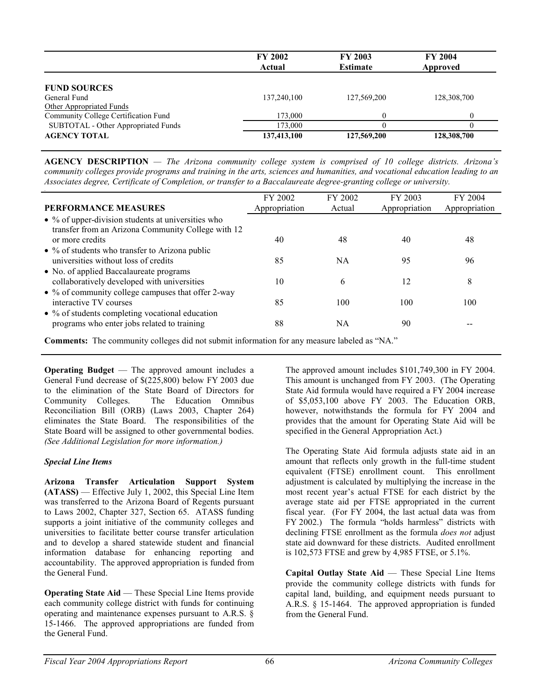|                                      | <b>FY 2002</b><br>Actual | <b>FY 2003</b><br><b>Estimate</b> | <b>FY 2004</b><br>Approved |  |
|--------------------------------------|--------------------------|-----------------------------------|----------------------------|--|
| <b>FUND SOURCES</b>                  |                          |                                   |                            |  |
| General Fund                         | 137,240,100              | 127,569,200                       | 128,308,700                |  |
| Other Appropriated Funds             |                          |                                   |                            |  |
| Community College Certification Fund | 173,000                  | 0                                 | $\theta$                   |  |
| SUBTOTAL - Other Appropriated Funds  | 173,000                  |                                   | $\theta$                   |  |
| <b>AGENCY TOTAL</b>                  | 137,413,100              | 127,569,200                       | 128,308,700                |  |

**AGENCY DESCRIPTION** *— The Arizona community college system is comprised of 10 college districts. Arizona's community colleges provide programs and training in the arts, sciences and humanities, and vocational education leading to an Associates degree, Certificate of Completion, or transfer to a Baccalaureate degree-granting college or university.*

|                                                            | FY 2002       | FY 2002   | FY 2003       | FY 2004       |
|------------------------------------------------------------|---------------|-----------|---------------|---------------|
| <b>PERFORMANCE MEASURES</b>                                | Appropriation | Actual    | Appropriation | Appropriation |
| $\bullet$ % of upper-division students at universities who |               |           |               |               |
| transfer from an Arizona Community College with 12         |               |           |               |               |
| or more credits                                            | 40            | 48        | 40            | 48            |
| $\bullet$ % of students who transfer to Arizona public     |               |           |               |               |
| universities without loss of credits                       | 85            | <b>NA</b> | 95            | 96            |
| • No. of applied Baccalaureate programs                    |               |           |               |               |
| collaboratively developed with universities                | 10            | 6         | 12            | 8             |
| • % of community college campuses that offer 2-way         |               |           |               |               |
| interactive TV courses                                     | 85            | 100       | 100           | 100           |
| $\bullet$ % of students completing vocational education    |               |           |               |               |
| programs who enter jobs related to training                | 88            | NA        | 90            |               |
|                                                            |               |           |               |               |

**Comments:** The community colleges did not submit information for any measure labeled as "NA."

**Operating Budget** — The approved amount includes a General Fund decrease of \$(225,800) below FY 2003 due to the elimination of the State Board of Directors for Community Colleges. The Education Omnibus Reconciliation Bill (ORB) (Laws 2003, Chapter 264) eliminates the State Board. The responsibilities of the State Board will be assigned to other governmental bodies. *(See Additional Legislation for more information.)*

## *Special Line Items*

**Arizona Transfer Articulation Support System (ATASS)** — Effective July 1, 2002, this Special Line Item was transferred to the Arizona Board of Regents pursuant to Laws 2002, Chapter 327, Section 65. ATASS funding supports a joint initiative of the community colleges and universities to facilitate better course transfer articulation and to develop a shared statewide student and financial information database for enhancing reporting and accountability. The approved appropriation is funded from the General Fund.

**Operating State Aid — These Special Line Items provide** each community college district with funds for continuing operating and maintenance expenses pursuant to A.R.S. § 15-1466. The approved appropriations are funded from the General Fund.

The approved amount includes \$101,749,300 in FY 2004. This amount is unchanged from FY 2003. (The Operating State Aid formula would have required a FY 2004 increase of \$5,053,100 above FY 2003. The Education ORB, however, notwithstands the formula for FY 2004 and provides that the amount for Operating State Aid will be specified in the General Appropriation Act.)

The Operating State Aid formula adjusts state aid in an amount that reflects only growth in the full-time student equivalent (FTSE) enrollment count. This enrollment adjustment is calculated by multiplying the increase in the most recent year's actual FTSE for each district by the average state aid per FTSE appropriated in the current fiscal year. (For FY 2004, the last actual data was from FY 2002.) The formula "holds harmless" districts with declining FTSE enrollment as the formula *does not* adjust state aid downward for these districts. Audited enrollment is 102,573 FTSE and grew by 4,985 FTSE, or 5.1%.

**Capital Outlay State Aid** — These Special Line Items provide the community college districts with funds for capital land, building, and equipment needs pursuant to A.R.S. § 15-1464. The approved appropriation is funded from the General Fund.